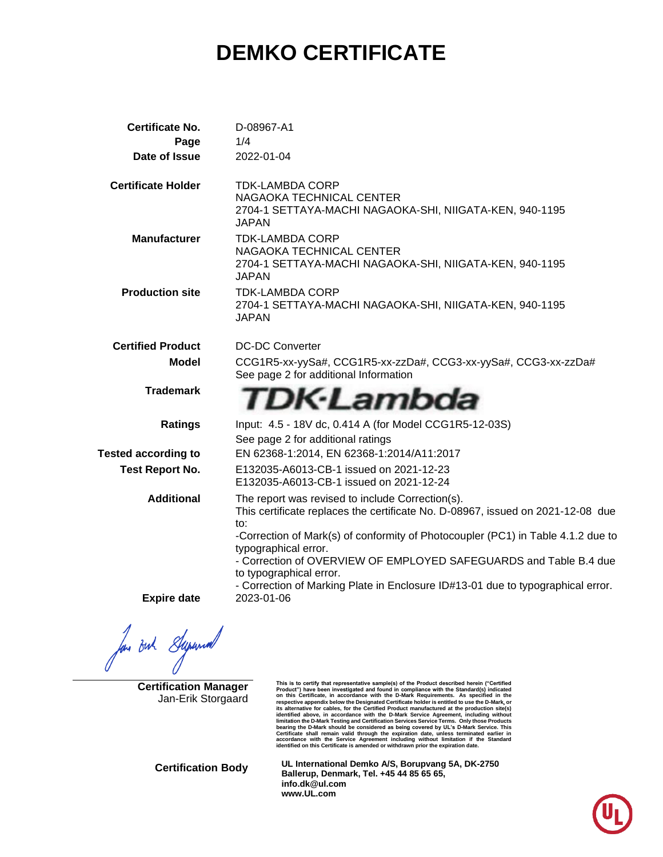# **DEMKO CERTIFICATE**

| <b>Certificate No.</b>     | D-08967-A1                                                                                                                                                                                                                                                                                                                  |
|----------------------------|-----------------------------------------------------------------------------------------------------------------------------------------------------------------------------------------------------------------------------------------------------------------------------------------------------------------------------|
| Page                       | 1/4                                                                                                                                                                                                                                                                                                                         |
| Date of Issue              | 2022-01-04                                                                                                                                                                                                                                                                                                                  |
| <b>Certificate Holder</b>  | <b>TDK-LAMBDA CORP</b><br>NAGAOKA TECHNICAL CENTER<br>2704-1 SETTAYA-MACHI NAGAOKA-SHI, NIIGATA-KEN, 940-1195<br>JAPAN                                                                                                                                                                                                      |
| <b>Manufacturer</b>        | <b>TDK-LAMBDA CORP</b><br>NAGAOKA TECHNICAL CENTER<br>2704-1 SETTAYA-MACHI NAGAOKA-SHI, NIIGATA-KEN, 940-1195<br>JAPAN                                                                                                                                                                                                      |
| <b>Production site</b>     | <b>TDK-LAMBDA CORP</b><br>2704-1 SETTAYA-MACHI NAGAOKA-SHI, NIIGATA-KEN, 940-1195<br>JAPAN                                                                                                                                                                                                                                  |
| <b>Certified Product</b>   | <b>DC-DC Converter</b>                                                                                                                                                                                                                                                                                                      |
| <b>Model</b>               | CCG1R5-xx-yySa#, CCG1R5-xx-zzDa#, CCG3-xx-yySa#, CCG3-xx-zzDa#<br>See page 2 for additional Information                                                                                                                                                                                                                     |
| <b>Trademark</b>           | TDK·Lambda                                                                                                                                                                                                                                                                                                                  |
| <b>Ratings</b>             | Input: 4.5 - 18V dc, 0.414 A (for Model CCG1R5-12-03S)<br>See page 2 for additional ratings                                                                                                                                                                                                                                 |
| <b>Tested according to</b> | EN 62368-1:2014, EN 62368-1:2014/A11:2017                                                                                                                                                                                                                                                                                   |
| <b>Test Report No.</b>     | E132035-A6013-CB-1 issued on 2021-12-23<br>E132035-A6013-CB-1 issued on 2021-12-24                                                                                                                                                                                                                                          |
| <b>Additional</b>          | The report was revised to include Correction(s).<br>This certificate replaces the certificate No. D-08967, issued on 2021-12-08 due<br>to:<br>-Correction of Mark(s) of conformity of Photocoupler (PC1) in Table 4.1.2 due to<br>typographical error.<br>- Correction of OVERVIEW OF EMPLOYED SAFEGUARDS and Table B.4 due |
| <b>Expire date</b>         | to typographical error.<br>- Correction of Marking Plate in Enclosure ID#13-01 due to typographical error.<br>2023-01-06                                                                                                                                                                                                    |

for out Supermal

**Certification Manager** Jan-Erik Storgaard

This is to certify that representative sample(s) of the Product described herein ("Certified<br>Product") have been investigated and found in compliance with the Standard(s) indicated<br>on this Certificate, in accordance with t respective appendix below the Designated Certificate holder is entitled to use the D-Mark, or<br>tis alternative for cables, for the Certified Product manufactured at the production site(s)<br>identified above, in accordance wit

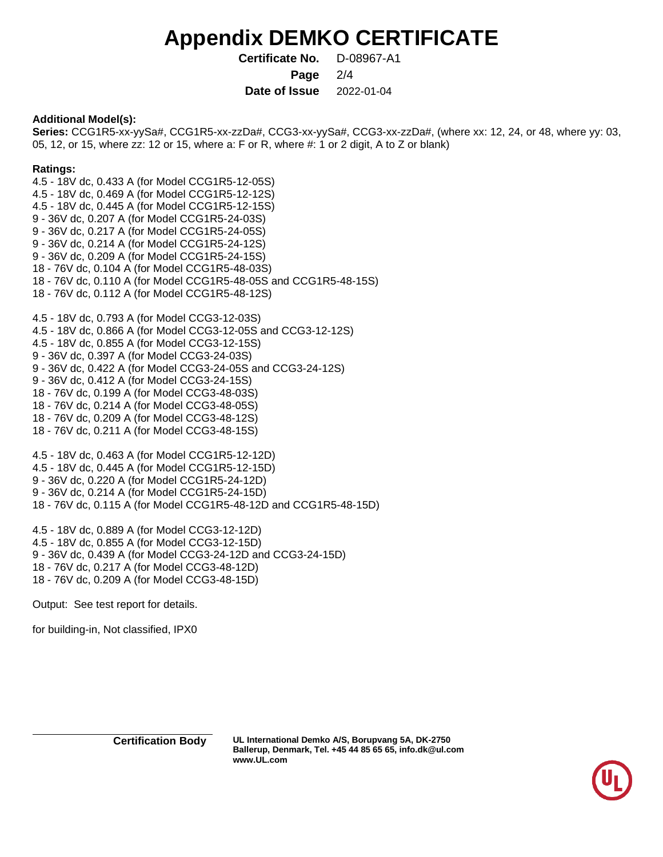## **Appendix DEMKO CERTIFICATE**

**Certificate No.** D-08967-A1 **Page** 2/4

**Date of Issue** 2022-01-04

### **Additional Model(s):**

**Series:** CCG1R5-xx-yySa#, CCG1R5-xx-zzDa#, CCG3-xx-yySa#, CCG3-xx-zzDa#, (where xx: 12, 24, or 48, where yy: 03, 05, 12, or 15, where zz: 12 or 15, where a: F or R, where #: 1 or 2 digit, A to Z or blank)

### **Ratings:**

4.5 - 18V dc, 0.433 A (for Model CCG1R5-12-05S) 4.5 - 18V dc, 0.469 A (for Model CCG1R5-12-12S) 4.5 - 18V dc, 0.445 A (for Model CCG1R5-12-15S) 9 - 36V dc, 0.207 A (for Model CCG1R5-24-03S) 9 - 36V dc, 0.217 A (for Model CCG1R5-24-05S) 9 - 36V dc, 0.214 A (for Model CCG1R5-24-12S) 9 - 36V dc, 0.209 A (for Model CCG1R5-24-15S) 18 - 76V dc, 0.104 A (for Model CCG1R5-48-03S) 18 - 76V dc, 0.110 A (for Model CCG1R5-48-05S and CCG1R5-48-15S) 18 - 76V dc, 0.112 A (for Model CCG1R5-48-12S)

4.5 - 18V dc, 0.793 A (for Model CCG3-12-03S) 4.5 - 18V dc, 0.866 A (for Model CCG3-12-05S and CCG3-12-12S) 4.5 - 18V dc, 0.855 A (for Model CCG3-12-15S) 9 - 36V dc, 0.397 A (for Model CCG3-24-03S) 9 - 36V dc, 0.422 A (for Model CCG3-24-05S and CCG3-24-12S) 9 - 36V dc, 0.412 A (for Model CCG3-24-15S) 18 - 76V dc, 0.199 A (for Model CCG3-48-03S) 18 - 76V dc, 0.214 A (for Model CCG3-48-05S) 18 - 76V dc, 0.209 A (for Model CCG3-48-12S) 18 - 76V dc, 0.211 A (for Model CCG3-48-15S)

4.5 - 18V dc, 0.463 A (for Model CCG1R5-12-12D) 4.5 - 18V dc, 0.445 A (for Model CCG1R5-12-15D) 9 - 36V dc, 0.220 A (for Model CCG1R5-24-12D) 9 - 36V dc, 0.214 A (for Model CCG1R5-24-15D) 18 - 76V dc, 0.115 A (for Model CCG1R5-48-12D and CCG1R5-48-15D)

4.5 - 18V dc, 0.889 A (for Model CCG3-12-12D) 4.5 - 18V dc, 0.855 A (for Model CCG3-12-15D) 9 - 36V dc, 0.439 A (for Model CCG3-24-12D and CCG3-24-15D) 18 - 76V dc, 0.217 A (for Model CCG3-48-12D) 18 - 76V dc, 0.209 A (for Model CCG3-48-15D)

Output: See test report for details.

for building-in, Not classified, IPX0

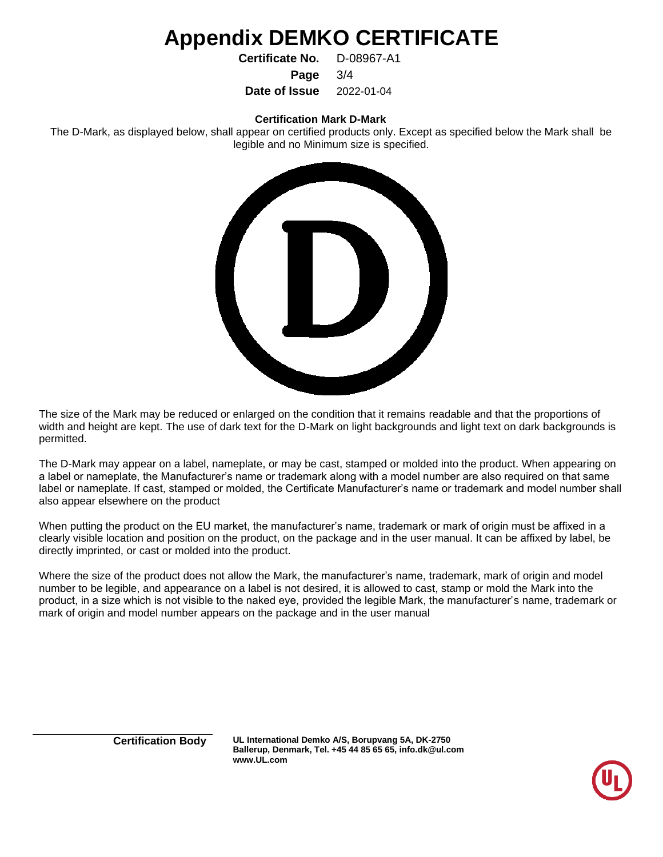## **Appendix DEMKO CERTIFICATE**

**Certificate No.** D-08967-A1

**Page** 3/4

**Date of Issue** 2022-01-04

#### **Certification Mark D-Mark**

The D-Mark, as displayed below, shall appear on certified products only. Except as specified below the Mark shall be legible and no Minimum size is specified.



The size of the Mark may be reduced or enlarged on the condition that it remains readable and that the proportions of width and height are kept. The use of dark text for the D-Mark on light backgrounds and light text on dark backgrounds is permitted.

The D-Mark may appear on a label, nameplate, or may be cast, stamped or molded into the product. When appearing on a label or nameplate, the Manufacturer's name or trademark along with a model number are also required on that same label or nameplate. If cast, stamped or molded, the Certificate Manufacturer's name or trademark and model number shall also appear elsewhere on the product

When putting the product on the EU market, the manufacturer's name, trademark or mark of origin must be affixed in a clearly visible location and position on the product, on the package and in the user manual. It can be affixed by label, be directly imprinted, or cast or molded into the product.

Where the size of the product does not allow the Mark, the manufacturer's name, trademark, mark of origin and model number to be legible, and appearance on a label is not desired, it is allowed to cast, stamp or mold the Mark into the product, in a size which is not visible to the naked eye, provided the legible Mark, the manufacturer's name, trademark or mark of origin and model number appears on the package and in the user manual